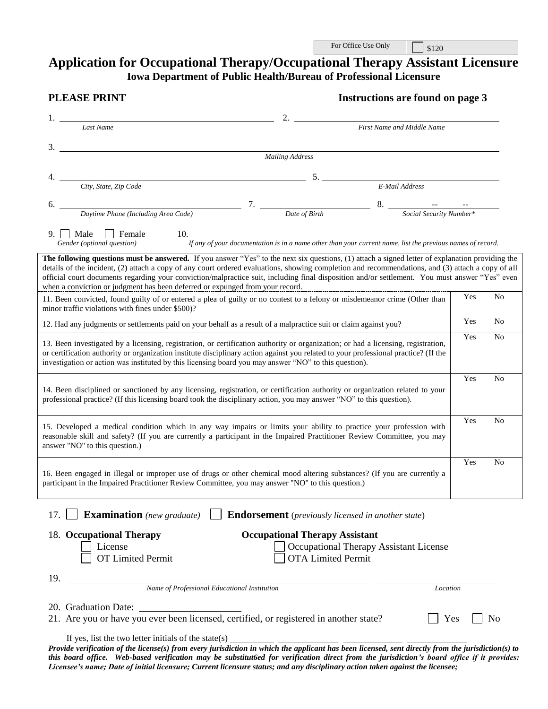| For Office Use Only | $\frac{1}{20}$ |
|---------------------|----------------|
|---------------------|----------------|

# **Application for Occupational Therapy/Occupational Therapy Assistant Licensure Iowa Department of Public Health/Bureau of Professional Licensure**

| <b>PLEASE PRINT</b>                                                                                                                                                                                                                                                                                                                                                                                                                                                                                                                      | <b>Instructions are found on page 3</b>                            |                                                                                                                |     |                |
|------------------------------------------------------------------------------------------------------------------------------------------------------------------------------------------------------------------------------------------------------------------------------------------------------------------------------------------------------------------------------------------------------------------------------------------------------------------------------------------------------------------------------------------|--------------------------------------------------------------------|----------------------------------------------------------------------------------------------------------------|-----|----------------|
| <b>Last Name</b>                                                                                                                                                                                                                                                                                                                                                                                                                                                                                                                         | 2.                                                                 | First Name and Middle Name                                                                                     |     |                |
| $\frac{3}{2}$                                                                                                                                                                                                                                                                                                                                                                                                                                                                                                                            |                                                                    |                                                                                                                |     |                |
|                                                                                                                                                                                                                                                                                                                                                                                                                                                                                                                                          | <b>Mailing Address</b>                                             |                                                                                                                |     |                |
| City, State, Zip Code                                                                                                                                                                                                                                                                                                                                                                                                                                                                                                                    |                                                                    | 5. E-Mail Address                                                                                              |     |                |
|                                                                                                                                                                                                                                                                                                                                                                                                                                                                                                                                          |                                                                    |                                                                                                                |     |                |
| 6.                                                                                                                                                                                                                                                                                                                                                                                                                                                                                                                                       |                                                                    |                                                                                                                |     |                |
| $9.$   Male<br>Female<br>Gender (optional question)                                                                                                                                                                                                                                                                                                                                                                                                                                                                                      |                                                                    | 10. If any of your documentation is in a name other than your current name, list the previous names of record. |     |                |
| The following questions must be answered. If you answer "Yes" to the next six questions, (1) attach a signed letter of explanation providing the<br>details of the incident, (2) attach a copy of any court ordered evaluations, showing completion and recommendations, and (3) attach a copy of all<br>official court documents regarding your conviction/malpractice suit, including final disposition and/or settlement. You must answer "Yes" even<br>when a conviction or judgment has been deferred or expunged from your record. |                                                                    |                                                                                                                |     |                |
| 11. Been convicted, found guilty of or entered a plea of guilty or no contest to a felony or misdemeanor crime (Other than<br>minor traffic violations with fines under \$500)?                                                                                                                                                                                                                                                                                                                                                          |                                                                    |                                                                                                                | Yes | N <sub>o</sub> |
| 12. Had any judgments or settlements paid on your behalf as a result of a malpractice suit or claim against you?                                                                                                                                                                                                                                                                                                                                                                                                                         |                                                                    |                                                                                                                | Yes | N <sub>o</sub> |
| 13. Been investigated by a licensing, registration, or certification authority or organization; or had a licensing, registration,<br>or certification authority or organization institute disciplinary action against you related to your professional practice? (If the<br>investigation or action was instituted by this licensing board you may answer "NO" to this question).                                                                                                                                                        |                                                                    |                                                                                                                | Yes | No             |
| 14. Been disciplined or sanctioned by any licensing, registration, or certification authority or organization related to your<br>professional practice? (If this licensing board took the disciplinary action, you may answer "NO" to this question).                                                                                                                                                                                                                                                                                    |                                                                    |                                                                                                                | Yes | N <sub>0</sub> |
| 15. Developed a medical condition which in any way impairs or limits your ability to practice your profession with<br>reasonable skill and safety? (If you are currently a participant in the Impaired Practitioner Review Committee, you may<br>answer "NO" to this question.)                                                                                                                                                                                                                                                          |                                                                    |                                                                                                                | Yes | N <sub>0</sub> |
| 16. Been engaged in illegal or improper use of drugs or other chemical mood altering substances? (If you are currently a<br>participant in the Impaired Practitioner Review Committee, you may answer "NO" to this question.)                                                                                                                                                                                                                                                                                                            |                                                                    |                                                                                                                | Yes | N <sub>0</sub> |
| <b>Examination</b> (new graduate)<br>17.                                                                                                                                                                                                                                                                                                                                                                                                                                                                                                 | <b>Endorsement</b> (previously licensed in another state)          |                                                                                                                |     |                |
| 18. Occupational Therapy<br>License<br><b>OT Limited Permit</b>                                                                                                                                                                                                                                                                                                                                                                                                                                                                          | <b>Occupational Therapy Assistant</b><br><b>OTA Limited Permit</b> | Occupational Therapy Assistant License                                                                         |     |                |
| 19.<br>Name of Professional Educational Institution                                                                                                                                                                                                                                                                                                                                                                                                                                                                                      |                                                                    |                                                                                                                |     |                |
|                                                                                                                                                                                                                                                                                                                                                                                                                                                                                                                                          |                                                                    | Location                                                                                                       |     |                |
| 20. Graduation Date:<br>21. Are you or have you ever been licensed, certified, or registered in another state?                                                                                                                                                                                                                                                                                                                                                                                                                           |                                                                    | Yes                                                                                                            |     | N <sub>o</sub> |
| If yes, list the two letter initials of the state(s) $\frac{1}{\sqrt{1-\frac{1}{\sqrt{1-\frac{1}{\sqrt{1-\frac{1}{\sqrt{1-\frac{1}{\sqrt{1-\frac{1}{\sqrt{1-\frac{1}{\sqrt{1-\frac{1}{\sqrt{1-\frac{1}{\sqrt{1-\frac{1}{\sqrt{1-\frac{1}{\sqrt{1-\frac{1}{\sqrt{1-\frac{1}{\sqrt{1-\frac{1}{\sqrt{1-\frac{1}{\sqrt{1-\frac{1}{\sqrt{1-\frac{1}{\sqrt{1-\frac{1}{\sqrt{1-\frac{1}{$<br>Provide verification of the license(s) from every jurisdiction in which the applicant has been licensed, sent directly from the jurisdiction(s) to |                                                                    |                                                                                                                |     |                |

*Provide verification of the license(s) from every jurisdiction in which the applicant has been licensed, sent directly from the jurisdiction(s) to this board office. Web-based verification may be substitut6ed for verification direct from the jurisdiction's board office if it provides: Licensee's name; Date of initial licensure; Current licensure status; and any disciplinary action taken against the licensee;*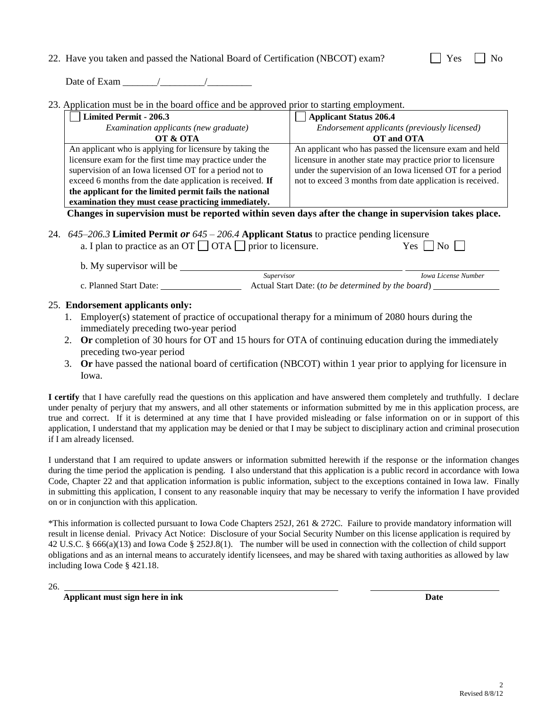## 22. Have you taken and passed the National Board of Certification (NBCOT) exam?

| ., |  |  |
|----|--|--|
|----|--|--|

Date of Exam  $\frac{1}{2}$  /

23. Application must be in the board office and be approved prior to starting employment.

| <b>Limited Permit - 206.3</b>                             | <b>Applicant Status 206.4</b>                              |
|-----------------------------------------------------------|------------------------------------------------------------|
| Examination applicants (new graduate)                     | Endorsement applicants (previously licensed)               |
| OT & OTA                                                  | OT and OTA                                                 |
| An applicant who is applying for licensure by taking the  | An applicant who has passed the licensure exam and held    |
| licensure exam for the first time may practice under the  | licensure in another state may practice prior to licensure |
| supervision of an Iowa licensed OT for a period not to    | under the supervision of an Iowa licensed OT for a period  |
| exceed 6 months from the date application is received. If | not to exceed 3 months from date application is received.  |
| the applicant for the limited permit fails the national   |                                                            |
| examination they must cease practicing immediately.       |                                                            |
| $\sim$                                                    | - 41<br>О.                                                 |

**Changes in supervision must be reported within seven days after the change in supervision takes place.**

24. *645–206.3* **Limited Permit** *or 645 – 206.4* **Applicant Status** to practice pending licensure a. I plan to practice as an OT  $\Box$  OTA  $\Box$  prior to licensure. Yes  $\Box$  No  $\Box$ 

b. My supervisor will be  *Supervisor Iowa License Number* c. Planned Start Date: Actual Start Date: (*to be determined by the board*)

### 25. **Endorsement applicants only:**

- 1. Employer(s) statement of practice of occupational therapy for a minimum of 2080 hours during the immediately preceding two-year period
- 2. **Or** completion of 30 hours for OT and 15 hours for OTA of continuing education during the immediately preceding two-year period
- 3. **Or** have passed the national board of certification (NBCOT) within 1 year prior to applying for licensure in Iowa.

**I certify** that I have carefully read the questions on this application and have answered them completely and truthfully. I declare under penalty of perjury that my answers, and all other statements or information submitted by me in this application process, are true and correct. If it is determined at any time that I have provided misleading or false information on or in support of this application, I understand that my application may be denied or that I may be subject to disciplinary action and criminal prosecution if I am already licensed.

I understand that I am required to update answers or information submitted herewith if the response or the information changes during the time period the application is pending. I also understand that this application is a public record in accordance with Iowa Code, Chapter 22 and that application information is public information, subject to the exceptions contained in Iowa law. Finally in submitting this application, I consent to any reasonable inquiry that may be necessary to verify the information I have provided on or in conjunction with this application.

\*This information is collected pursuant to Iowa Code Chapters 252J, 261 & 272C. Failure to provide mandatory information will result in license denial. Privacy Act Notice: Disclosure of your Social Security Number on this license application is required by 42 U.S.C. § 666(a)(13) and Iowa Code § 252J.8(1). The number will be used in connection with the collection of child support obligations and as an internal means to accurately identify licensees, and may be shared with taxing authorities as allowed by law including Iowa Code § 421.18.

26.

**Applicant must sign here in ink Date**